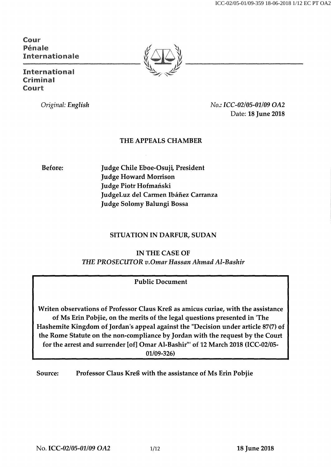ICC-02/05-01/09-359 18-06-2018 1/12 EC PT OA2

**Cour Pénale Internationale** 

**International Crimhial Court** 

*Original: English No.: ICC-02/05-01/09 OA2*  Date: 18 June 2018

# THE APPEALS CHAMBER

Before: Judge Chile Eboe-Osuji, President Judge Howard Morrison Judge Piotr Hofmański JudgeLuz del Carmen Ibáñez Carranza Judge Solomy Balungi Bossa

# SITUATION IN DARFUR, SUDAN

INTHECASE OF *THE PROSECUTORv. OmarHassanAhmadAl-Bashir* 

# Public Document

Writen observations of Professor Claus Kreß as amicus curiae, with the assistance of Ms Erin Pobjie, on the merits of the legal questions presented in'The Hashemite Kingdom of Jordan's appeal against the "Decision under article 87(7) of the Rome Statute on the non-compliance by Jordan with the request by the Court for the arrest and surrender [of] Omar Al-Bashir"' of 12 March 2018 (ICC-02/05- 01/09-326)

Source: Professor Claus Kreß with the assistance of Ms Erin Pobjie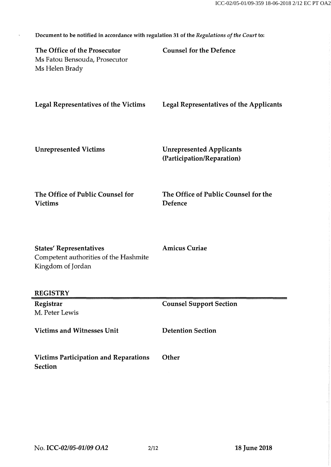| Document to be notified in accordance with regulation 31 of the Regulations of the Court to: |                                                               |
|----------------------------------------------------------------------------------------------|---------------------------------------------------------------|
| The Office of the Prosecutor<br>Ms Fatou Bensouda, Prosecutor<br>Ms Helen Brady              | <b>Counsel for the Defence</b>                                |
| <b>Legal Representatives of the Victims</b>                                                  | <b>Legal Representatives of the Applicants</b>                |
| <b>Unrepresented Victims</b>                                                                 | <b>Unrepresented Applicants</b><br>(Participation/Reparation) |
| The Office of Public Counsel for<br><b>Victims</b>                                           | The Office of Public Counsel for the<br>Defence               |
| <b>States' Representatives</b><br>Competent authorities of the Hashmite<br>Kingdom of Jordan | <b>Amicus Curiae</b>                                          |
| <b>REGISTRY</b>                                                                              |                                                               |
| Registrar<br>M. Peter Lewis                                                                  | <b>Counsel Support Section</b>                                |
| <b>Victims and Witnesses Unit</b>                                                            | <b>Detention Section</b>                                      |
| <b>Victims Participation and Reparations</b><br><b>Section</b>                               | Other                                                         |
|                                                                                              |                                                               |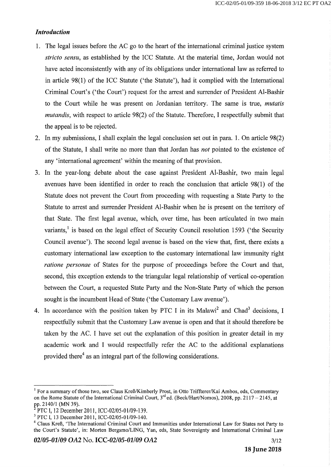### *Introduction*

- 1. The legal issues before the AC go to the heart of the international criminal justice system *stricto sensu,* as established by the ICC Statute. At the material time, Jordan would not have acted inconsistently with any of its obligations under international law as referred to in article 98(1) of the ICC Statute ('the Statute'), had it complied with the International Criminal Court's (`the Court') request for the arrest and surrender of President Al-Bashir to the Court while he was present on Jordanian territory. The same is true, *mutatis mutandis,* with respect to article 98(2) of the Statute. Therefore, I respectfully submit that the appeal is to be rejected.
- 2. In my submissions, I shall explain the legal conclusion set out inpara.1. On article 98(2) of the Statute, I shall write no more than that Jordan has *not* pointed to the existence of any 'international agreement' within the meaning of that provision.
- 3. In the year-long debate about the case against President Al-Bashir, two main legal avenues have been identified in order to reach the conclusion that article 98(1) of the Statute does not prevent the Court from proceeding with requesting a State Party to the Statute to arrest and surrender President Al-Bashir when he is present on the territory of that State. The first legal avenue, which, over time, has been articulated in two main variants,<sup>1</sup> is based on the legal effect of Security Council resolution 1593 ('the Security Council avenue'). The second legal avenue is based on the view that, first, there exists a customary international law exception to the customary international law immunity right *ratione personae* of States for the purpose of proceedings before the Court and that, second, this exception extends to the triangular legal relationship of vertical co-operation between the Court, a requested State Party and the Non-State Party of which the person sought is the incumbent Head of State ('the Customary Law avenue').
- 4. In accordance with the position taken by PTC I in its Malawi<sup>2</sup> and Chad<sup>3</sup> decisions. I respectfully submit that the Customary Law avenue is open and that it should therefore be taken by the AC. I have set out the explanation of this position in greater detail in my academic work and I would respectfully refer the AC to the additional explanations provided there<sup>4</sup> as an integral part of the following considerations.

<sup>&</sup>lt;sup>1</sup> For a summary of those two, see Claus Kreß/Kimberly Prost, in Otto Triffterer/Kai Ambos, eds, Commentary on the Rome Statute of the International Criminal Court, 3<sup>rd</sup> ed. (Beck/Hart/Nomos), 2008, pp. 2117 – 2145, at pp. 2140/1 (MN 39).

PTC I, 12 December 2011, ICC-02/05-01/09-139.

<sup>&</sup>lt;sup>3</sup> PTC I, 13 December 2011, ICC-02/05-01/09-140.

<sup>&</sup>lt;sup>4</sup> Claus Kreß, 'The International Criminal Court and Immunities under International Law for States not Party to the Court's Statute', in; Morten Bergsmo/LING, Yan, eds, State Sovereignty and International Criminal Law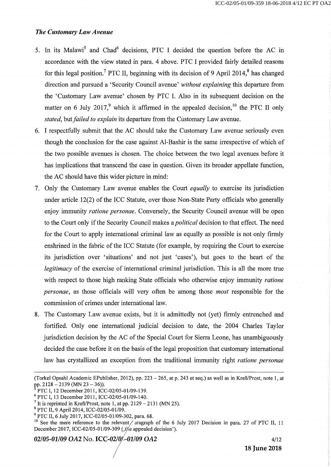### *The Customary Law Avenue*

- 5. In its Malawi<sup>5</sup> and Chad<sup>6</sup> decisions, PTC I decided the question before the AC in accordance with the view stated in para. 4 above. PTC I provided fairly detailed reasons for this legal position.<sup>7</sup> PTC II, beginning with its decision of 9 April 2014,<sup>8</sup> has changed direction and pursued a `Security Council avenue' *without explaining* this departure from the `Customary Law avenue' chosen by PTC I. Also in its subsequent decision on the matter on 6 July 2017,<sup>9</sup> which it affirmed in the appealed decision,<sup>10</sup> the PTC II only *stated,* but *failed to explain* its departure from the Customary Law avenue.
- 6. I respectfully submit that the AC should take the Customary Law avenue seriously even though the conclusion for the case against Al-Bashir is the same irrespective of which of the two possible avenues is chosen. The choice between the two legal avenues before it has implications that transcend the case in question. Given its broader appellate function, the AC should have this wider picture in mind:
- 7. Only the Customary Law avenue enables the Court *equally* to exercise its jurisdiction under article 12(2) of the ICC Statute, over those Non-State Party officials who generally enjoy immunity *cationepersonae.* Conversely, the Security Council avenue will be open to the Court only if the Security Council makes *apolitical* decision to that effect. The need for the Court to apply international criminal law as equally as possible is not only firmly enshrined in the fabric of the ICC Statute (for example, by requiring the Court to exercise its jurisdiction over `situations' and not just `cases'), but goes to the heart of the *legitimacy* of the exercise of international criminal jurisdiction. This is all the more true with respect to those high ranking State officials who otherwise enjoy immunity *ratione personae,* as those officials will very often be among those *most* responsible for the commission of crimes under international law.
- 8. The Customary Law avenue exists, but it is admittedly not (yet) firmly entrenched and fortified. Only one international judicial decision to date, the 2004 Charles Taylor jurisdiction decision by the AC of the Special Court for Sierra Leone, has unambiguously decided the case before it on the basis of the legal proposition that customary international law has crystallized an exception from the traditional immunity right *ratione personae*

<sup>(</sup>Torkel Opsahl Academic EPublisher, 2012), pp. 223 – 265, at p. 243 et seq.) as well as in Kreß/Prost, note 1, at pp. 2128 — 2139 (MN 23 — 36)).

*<sup>5</sup>*PTC I, 12 December 2011, ICC-02/05-01/09-139.

*<sup>6</sup>*PTC I, 13 December 2011, ICC-02/05-01/09-140.

<sup>&</sup>lt;sup>7</sup> It is reprinted in Kreß/Prost, note 1, at pp. 2129 – 2131 (MN 25).

*<sup>B</sup>*PTC 11, 9 April 2014, ICC-02/05-01/09.

<sup>&</sup>lt;sup>9</sup> PTC II, 6 July 2017, ICC-02/05-01/09-302, para. 68.

<sup>&</sup>lt;sup>10</sup> See the mere reference to the relevant *f* aragraph of the 6 July 2017 Decision in para. 27 of PTC II, 11 December 2017, ICC-02/05-01/09-309 (,t/e appealed decision').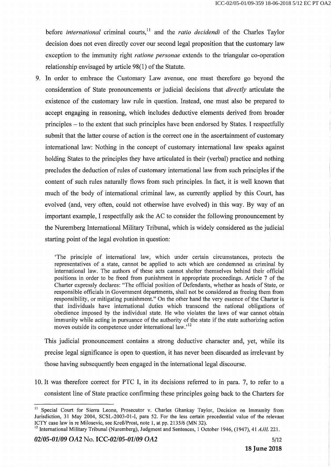before *international* criminal courts,<sup>11</sup> and the *ratio decidendi* of the Charles Taylor decision does not even directly cover our second legal proposition that the customary law exception to the immunity right *ratione personae* extends to the triangular co-operation relationship envisaged by article 98(1) *of* the Statute.

9. In order to embrace the Customary Law avenue, one must therefore go beyond the consideration *of* State pronouncements or judicial decisions that *directly* articulate the existence *of* the customary law rule in question. Instead, one must also be prepared to accept engaging in reasoning, which includes deductive elements derived from broader principles — to the extent that such principles have been endorsed by States. I respectfully submit that the latter course *of* action is the correct one in the ascertainment *of* customary international law: Nothing in the concept *of* customary international law speaks against holding States to the principles they have articulated in their (verbal) practice and nothing precludes the deduction of rules of customary international law from such principles if the content *of* such rules naturally flows from such principles. In fact, it is well known that much *of* the body *of* international criminal law, as currently applied by this Court, has evolved (and, very often, could not otherwise have evolved) in this way. By way of an important example, I respectfully ask the AC to consider the following pronouncement by the Nuremberg International Military Tribunal, which is widely considered as the judicial starting point of the legal evolution in question:

`The principle of international law, which under certain circumstances, protects the representatives of a state, cannot be applied to acts which are condemned as criminal by international law. The authors of these acts cannot shelter themselves behind their official positions in order to be freed from punishment in appropriate proceedings. Article 7 of the Charter expressly declares: "The official position of Defendants, whether as heads of State, or responsible officials in Government departments, shall not be considered as freeing them from responsibility, or mitigating punishment." On the other hand the very essence of the Charter is that individuals have international duties which transcend the national obligations of obedience imposed by the individual state. He who violates the laws of war cannot obtain immunity while acting in pursuance of the authority of the state if the state authorizing action moves outside its competence under international law.<sup>12</sup>

This judicial pronouncement contains a strong deductive character and, yet, while its precise legal significance is open to question, it has never been discarded as irrelevant by those having subsequently been engaged in the international legal discourse.

10. It was therefore correct for PTC I, in its decisions referred to in para. 7, to refer to a consistent line *of* State practice confirming these principles going back to the Charters for

<sup>&</sup>lt;sup>11</sup> Special Court for Sierra Leone, Prosecutor v. Charles Ghankay Taylor, Decision on Immunity from Jurisdiction, 31 May 2004, SCSL-2003-01-I, para 52. For the less certain precedential value of the relevant ICTY case law in re Milosevic, see Kreß/Prost, note 1, at pp. 2135/6 (MN 32).

<sup>&</sup>lt;sup>12</sup> International Military Tribunal (Nuremberg), Judgment and Sentences, 1 October 1946, (1947), 41 *AJIL* 221.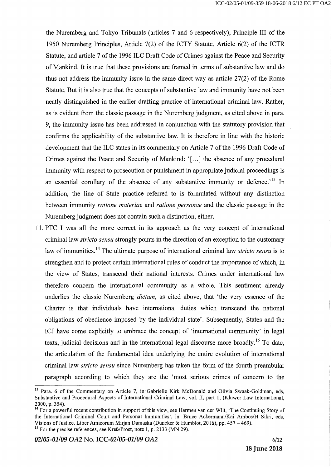the Nuremberg and Tokyo Tribunals (articles 7 and 6 respectively), Principle III of the 1950 Nuremberg Principles, Article 7(2) of the ICTY Statute, Article 6(2) of the ICTR Statute, and article 7 of the 1996 ILC Draft Code of Crimes against the Peace and Security of Mankind. It is true that these provisions are framed in terms of substantive law and do thus not address the immunity issue in the same direct way as article 27(2) of the Rome Statute. But it is also true that the concepts of substantive law and immunity have not been neatly distinguished in the earlier drafting practice of international criminal law. Rather, as is evident from the classic passage in the Nuremberg judgment, as cited above inpara. 9, the immunity issue has been addressed in conjunction with the statutory provision that confirms the applicability of the substantive law. It is therefore in line with the historic development that the ILC states in its commentary on Article 7 of the 1996 Draft Code of Crimes against the Peace and Security of Mankind: '[...] the absence of any procedural immunity with respect to prosecution or punishment in appropriate judicial proceedings is an essential corollary of the absence of any substantive immunity or defence.<sup> $13$ </sup> In addition, the line of State practice referred to is formulated without any distinction between immunity *ratione materiae* and *ratione personae* and the classic passage in the Nuremberg judgment does not contain such a distinction, either.

11. PTC I was all the more correct in its approach as the very concept of international criminal law *stricto sensu* strongly points in the direction of an exception to the customary law of immunities.<sup>14</sup> The ultimate purpose of international criminal law *stricto sensu* is to strengthen and to protect certain international rules of conduct the importance of which, in the view of States, transcend their national interests. Crimes under international law therefore concern the international community as a whole. This sentiment already underlies the classic Nuremberg *dictum*, as cited above, that 'the very essence of the Charter is that individuals have international duties which transcend the national obligations of obedience imposed by the individual state'. Subsequently, States and the ICJ have come explicitly to embrace the concept of 'international community' in legal texts, judicial decisions and in the international legal discourse more broadly.<sup>15</sup> To date, the articulation of the fundamental idea underlying the entire evolution of international criminal law *stricto sensu* since Nuremberg has taken the form of the fourth preambular paragraph according to which they are the `most serious crimes of concern to the

<sup>&</sup>lt;sup>13</sup> Para. 6 of the Commentary on Article 7, in Gabrielle Kirk McDonald and Olivia Swaak-Goldman, eds, Substantive and Procedural Aspects of International Criminal Law, vol. II, part 1, (Kluwer Law International, 2000,p.354).

<sup>&</sup>lt;sup>14</sup> For a powerful recent contribution in support of this view, see Harmen van der Wilt, 'The Continuing Story of the International Criminal Court and Personal Immunities', in: Bruce Ackermann/Kai Ambos/H Sikri, eds, Visions of Justice. Liber Amicorum Mirjan Damaska (Duncker & Humblot, 2016), pp. 457 – 469).

<sup>&</sup>lt;sup>15</sup> For the precise references, see Kreß/Prost, note 1, p. 2133 (MN 29).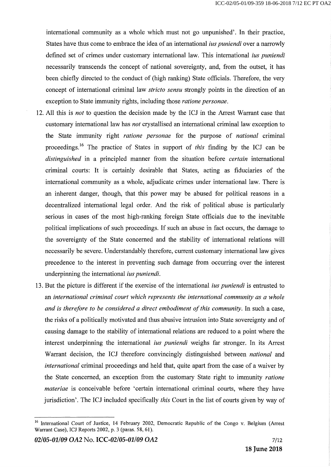international community as a whole which must not go unpunished'. In their practice, States have thus come to embrace the idea of an international *iuspuniendi* over a narrowly defined set of crimes under customary international law. This international *iuspuniendi*  necessarily transcends the concept of national sovereignty, and, from the outset, it has been chiefly directed to the conduct of (high ranking) State officials. Therefore, the very concept of international criminal law *stricto sensu* strongly points in the direction of an exception to State immunity rights, including those *ratione personae.* 

- 12. All this is *not* to question the decision made by the ICJ in the Arrest Warrant case that customary international law has *not* crystallised an international criminal law exception to the State immunity right *ratione personae* for the purpose of *national* criminal proceedings.<sup>16</sup> The practice of States in support of *this* finding by the ICJ can be *distinguished* in a principled manner from the situation before *certain* international criminal courts: It is certainly desirable that States, acting as fiduciaries of the international community as a whole, adjudicate crimes under international law. There is an inherent danger, though, that this power may be abused for political reasons in a decentralized international legal order. And the risk of political abuse is particularly serious in cases of the most high-ranking foreign State officials due to the inevitable political implications of such proceedings. If such an abuse in fact occurs, the damage to the sovereignty of the State concerned and the stability of international relations will necessarily be severe. Understandably therefore, current customary international law gives precedence to the interest in preventing such damage from occurring over the interest underpinning the international *iuspuniendi.*
- 13. But the picture is different if the exercise of the international *iuspuniendi is* entrusted to an *international criminal court which represents the international community as a whole and is therefore to be considered a direct embodiment of this community.* In such a case, the risks of a politically motivated and thus abusive intrusion into State sovereignty and of causing damage to the stability of international relations are reduced to a point where the interest underpinning the international *iuspuniendi* weighs far stronger. In its Arrest Warrant decision, the ICJ therefore convincingly distinguished between *national* and *international* criminal proceedings and held that, quite apart from the case of a waiver by the State concerned, an exception from the customary State right to immunity *ratione materiae* is conceivable before 'certain international criminal courts, where they have jurisdiction'. The ICJ included specifically *this* Court in the list of courts given by way of

<sup>&</sup>lt;sup>16</sup> International Court of Justice, 14 February 2002, Democratic Republic of the Congo v. Belgium (Arrest Warrant Case), ICJ Reports  $2002$ , p. 3 (paras. 58, 61).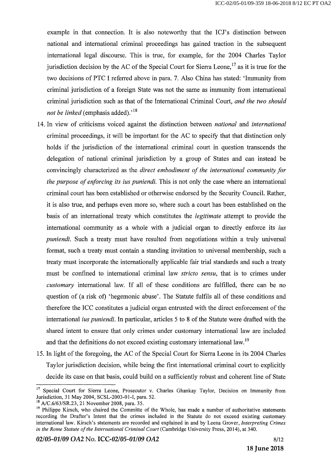example in that connection. It is also noteworthy that the ICJ's distinction between national and international criminal proceedings has gained traction in the subsequent international legal discourse. This is true, for example, for the 2004 Charles Taylor jurisdiction decision by the AC of the Special Court for Sierra Leone,  $^{17}$  as it is true for the two decisions of PTC I referred above inpara.7. Also China has stated: `Immunity from criminal jurisdiction of a foreign State was not the same as immunity from international criminal jurisdiction such as that of the International Criminal Court, *and the two should not be linked* (emphasis added).<sup>'18</sup>

- 14. In view of criticisms voiced against the distinction between *national* and *international*  criminal proceedings, it will be important for the AC to specify that that distinction only holds if the jurisdiction of the international criminal court in question transcends the delegation of national criminal jurisdiction by a group of States and can instead be convincingly characterized as the *direct embodiment of the international community for the purpose of enforcing itsiuspuniendi.* This is not only the case where an international criminal court has been established or otherwise endorsed by the Security Council. Rather, it is also true, and perhaps even more so, where such a court has been established on the basis of an international treaty which constitutes the *legitimate* attempt to provide the international community as a whole with a judicial organ to directly enforce its *ius puniendi.* Such a treaty must have resulted from negotiations within a truly universal format, such a treaty must contain a standing invitation to universal membership, such a treaty must incorporate the internationally applicable fair trial standards and such a treaty must be confined to international criminal law *stricto sensu,* that is to crimes under *customary* international law. If all of these conditions are fulfilled, there can be no question of (a risk of) `hegemonic abuse'. The Statute fulfils all of these conditions and therefore the ICC constitutes a judicial organ entrusted with the direct enforcement of the international *iuspuniendi.* In particular, articles 5 to 8 of the Statute were drafted with the shared intent to ensure that only crimes under customary international law are included and that the definitions do not exceed existing customary international law.<sup>19</sup>
- 15. In light of the foregoing, the AC of the Special Court for Sierra Leone in its 2004 Charles Taylor jurisdiction decision, while being the first international criminal court to explicitly decide its case on that basis, could build on a sufficiently robust and coherent line of State

<sup>&</sup>lt;sup>17</sup> Special Court for Sierra Leone, Prosecutor v. Charles Ghankay Taylor, Decision on Immunity from Jurisdiction, 31 May 2004, SCSL-2003-01-I, para. 52.

<sup>&</sup>lt;sup>18</sup> A/C.6/63/SR.23, 21 November 2008, para. 35.

<sup>&</sup>lt;sup>19</sup> Philippe Kirsch, who chaired the Committe of the Whole, has made a number of authoritative statements recording the Drafter's Intent that the crimes included in the Statute do not exceed existing customary international law. Kirsch's statements are recorded and explained in and by Leena Grover, *Interpreting Crimes in the Rome Statute of the International Criminal Court* (Cambridge University Press, 2014), at 340.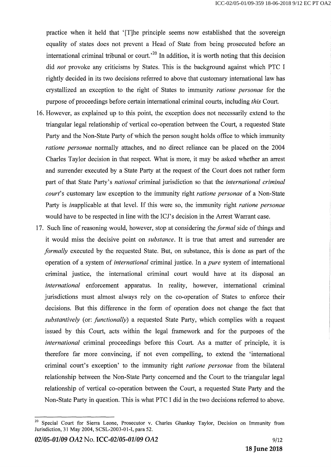practice when it held that `[T]he principle seems now established that the sovereign equality of states does not prevent a Head of State from being prosecuted before an international criminal tribunal or court.<sup> $20$ </sup> In addition, it is worth noting that this decision did *not* provoke any criticisms by States. This is the background against which PTC I rightly decided in its two decisions referred to above that customary international law has crystallized an exception to the right of States to immunity *ratione personae* for the purpose of proceedings before certain international criminal courts, including *this* Court.

- 16. However, as explained up to this point, the exception does not necessarily extend to the triangular legal relationship of vertical co-operation between the Court, a requested State Party and the Non-State Parry of which the person sought holds office to which immunity *ratione personae* normally attaches, and no direct reliance can be placed on the 2004 Charles Taylor decision in that respect. What is more, it may be asked whether an arrest and surrender executed by a State Parry at the request of the Court does not rather form part of that State Parry's *national* criminal jurisdiction so that the *international criminal court's* customary law exception to the immunity right *ratione personae* of a Non-State Parry is inapplicable at that level. If this were so, the immunity right *ratione personae*  would have to be respected in line with the ICJ's decision in the Arrest Warrant case.
- 17. Such line of reasoning would, however, stop at considering the *formal* side of things and it would miss the decisive point on *substance.* It is true that arrest and surrender are *formally* executed by the requested State. But, on substance, this is done as part of the operation of a system of *international* criminal justice. In *a pure* system of international criminal justice, the international criminal court would have at its disposal an *international* enforcement apparatus. In reality, however, international criminal jurisdictions must almost always rely on the co-operation of States to enforce their decisions. But this difference in the form of operation does not change the fact that *substantively* (or: *functionally)* a requested State Party, which complies with a request issued by this Court, acts within the legal framework and for the purposes of the *international* criminal proceedings before this Court. As a matter of principle, it is therefore far more convincing, if not even compelling, to extend the `international criminal court's exception' to the immunity right *ratione personae* from the bilateral relationship between the Non-State Party concerned and the Court to the triangular legal relationship of vertical co-operation between the Court, a requested State Party and the Non-State Party in question. This is what PTC I did in the two decisions referred to above.

Special Court for Sierra Leone, Prosecutor v. Charles Ghankay Taylor, Decision on Immunity from Jurisdiction, 31 May 2004, SCSL-2003-01-I, para 52.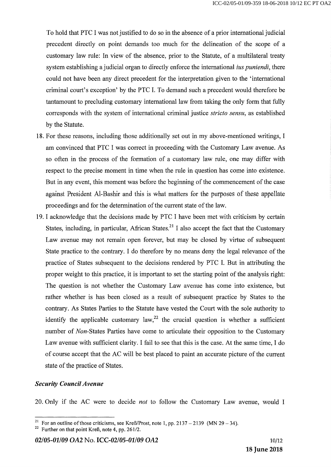To hold that PTC I was not justified to do so in the absence of a prior international judicial precedent directly on point demands too much for the delineation of the scope of a customary law rule: In view of the absence, prior to the Statute, of a multilateral treaty system establishing a judicial organ to directly enforce the international *ius puniendi*, there could not have been any direct precedent for the interpretation given to the 'international criminal court's exception' by the PTC I. To demand such a precedent would therefore be tantamount to precluding customary international law from taking the only form that fully corresponds with the system of international criminal justice *stricto sensu,* as established by the Statute.

- 18. For these reasons, including those additionally set out in my above-mentioned writings, I am convinced that PTC I was correct in proceeding with the Customary Law avenue. As so often in the process of the formation of a customary law rule, one may differ with respect to the precise moment in time when the rule in question has come into existence. But in any event, this moment was before the beginning of the commencement of the case against President Al-Bashir and this is what matters for the purposes of these appellate proceedings and for the determination of the current state of the law.
- 19. I acknowledge that the decisions made by PTC I have been met with criticism by certain States, including, in particular, African States.<sup>21</sup> I also accept the fact that the Customary Law avenue may not remain open forever, but may be closed by virtue of subsequent State practice to the contrary. I do therefore by no means deny the legal relevance of the practice of States subsequent to the decisions rendered by PTC I. But in attributing the proper weight to this practice, it is important to set the starting point of the analysis right: The question is not whether the Customary Law avenue has come into existence, but rather whether is has been closed as a result of subsequent practice by States to the contrary. As States Parties to the Statute have vested the Court with the sole authority to identify the applicable customary law,  $2^2$  the crucial question is whether a sufficient number of *Non*-States Parties have come to articulate their opposition to the Customary Law avenue with sufficient clarity. I fail to see that this is the case. At the same time, I do of course accept that the AC will be best placed to paint an accurate picture of the current state of the practice of States.

#### *Security Council Avenue*

20. Only if the AC were to decide *not* to follow the Customary Law avenue, would I

<sup>&</sup>lt;sup>21</sup> For an outline of those criticisms, see Kreß/Prost, note 1, pp. 2137 – 2139 (MN 29 – 34).

<sup>&</sup>lt;sup>22</sup> Further on that point Kreß, note 4, pp. 261/2.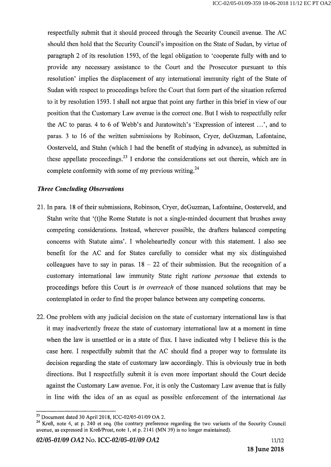respectfully submit that it should proceed through the Security Council avenue. The AC should then hold that the Security Council's imposition on the State of Sudan, by virtue of paragraph 2 of its resolution 1593, of the legal obligation to `cooperate fully with and to provide any necessary assistance to the Court and the Prosecutor pursuant to this resolution' implies the displacement of any international immunity right of the State of Sudan with respect to proceedings before the Court that form part of the situation referred to it by resolution 1593. I shall not argue that point any further in this brief in view of our position that the Customary Law avenue is the correct one. But I wish to respectfully refer the AC to paras. 4 to 6 of Webb's and Juratowitch's 'Expression of interest ...', and to paras.3 to 16 of the written submissions by Robinson, Cryer, deGuzman, Lafontaine, Oosterveld, and Stahn (which I had the benefit of studying in advance), as submitted in these appellate proceedings.<sup>23</sup> I endorse the considerations set out therein, which are in complete conformity with some of my previous writing.<sup>24</sup>

### *Three Concluding Observations*

- 21. In para. 18 of their submissions, Robinson, Cryer, deGuzman, Lafontaine, Oosterveld, and Stahn write that '(t)he Rome Statute is not a single-minded document that brushes away competing considerations. Instead, wherever possible, the drafters balanced competing concerns with Statute aims'. I wholeheartedly concur with this statement. I also see benefit for the AC and for States carefully to consider what my six distinguished colleagues have to say in paras.  $18 - 22$  of their submission. But the recognition of a customary international law immunity State right *ratione personae* that extends to proceedings before this Court is *in overreach* of those nuanced solutions that may be contemplated in order to find the proper balance between any competing concerns.
- 22. One problem with any judicial decision on the state of customary international law is that it may inadvertently freeze the state of customary international law at a moment in time when the law is unsettled or in a state of flux. I have indicated why I believe this is the case here. I respectfully submit that the AC should find a proper way to formulate its decision regarding the state of customary law accordingly. This is obviously true in both directions. But I respectfully submit it is even more important should the Court decide against the Customary Law avenue. For, it is only the Customary Law avenue that is fully in line with the idea of an as equal as possible enforcement of the international *ius*

<sup>&</sup>lt;sup>23</sup> Document dated 30 April 2018, ICC-02/05-01/09 OA 2.

<sup>&</sup>lt;sup>24</sup> Kreß, note 4, at p. 240 et seq. (the contrary preference regarding the two variants of the Security Council avenue, as expressed in Kreß/Prost, note 1, atp.2141 (MN 39) is no longer maintained).